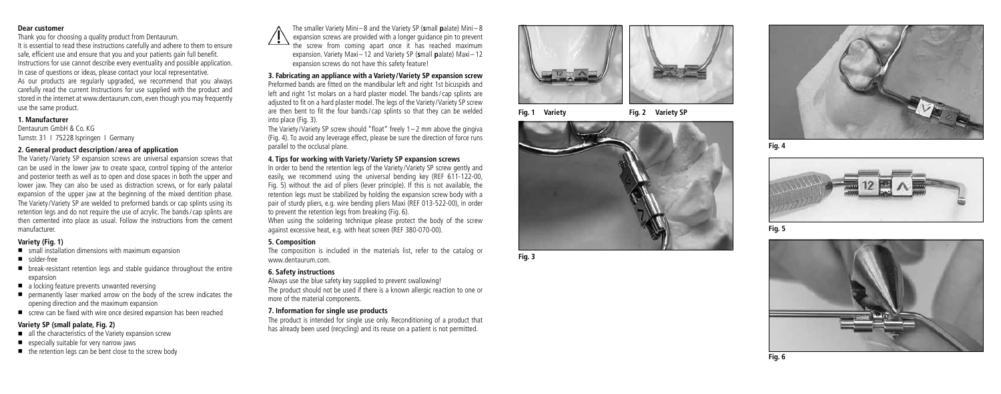#### **Dear customer**

Thank you for choosing a quality product from Dentaurum. It is essential to read these instructions carefully and adhere to them to ensure safe, efficient use and ensure that you and your patients gain full benefit. Instructions for use cannot describe every eventuality and possible application. In case of questions or ideas, please contact your local representative.

As our products are regularly upgraded, we recommend that you always carefully read the current Instructions for use supplied with the product and stored in the internet at www.dentaurum.com, even though you may frequently use the same product.

### **1. Manufacturer**

Dentaurum GmbH & Co. KG Turnstr. 31 I 75228 Ispringen I Germany

#### **2. General product description / area of application**

The Variety/Variety SP expansion screws are universal expansion screws that can be used in the lower jaw to create space, control tipping of the anterior and posterior teeth as well as to open and close spaces in both the upper and lower jaw. They can also be used as distraction screws, or for early palatal expansion of the upper jaw at the beginning of the mixed dentition phase. The Variety/Variety SP are welded to preformed bands or cap splints using its retention legs and do not require the use of acrylic. The bands /cap splints are then cemented into place as usual. Follow the instructions from the cement manufacturer.

# **Variety (Fig. 1)**

- $\blacksquare$  small installation dimensions with maximum expansion
- solder-free
- $\blacksquare$  break-resistant retention legs and stable guidance throughout the entire expansion
- $\blacksquare$  a locking feature prevents unwanted reversing
- **P** permanently laser marked arrow on the body of the screw indicates the opening direction and the maximum expansion
- $\blacksquare$  screw can be fixed with wire once desired expansion has been reached

# **Variety SP (small palate, Fig. 2)**

- all the characteristics of the Variety expansion screw
- $\blacksquare$  especially suitable for very narrow jaws
- $\blacksquare$  the retention legs can be bent close to the screw body

The smaller Variety Mini –8 and the Variety SP ( **s**mall **p**alate) Mini –8 expansion screws are provided with a longer guidance pin to prevent the screw from coming apart once it has reached maximum expansion. Variety Maxi–12 and Variety SP (small palate) Maxi–12 expansion screws do not have this safety feature!

# **3. Fabricating an appliance with a Variety /Variety SP expansion screw**

Preformed bands are fitted on the mandibular left and right 1st bicuspids and left and right 1st molars on a hard plaster model. The bands /cap splints are adjusted to fit on a hard plaster model. The legs of the Variety /Variety SP screw are then bent to fit the four bands /cap splints so that they can be welded into place (Fig. 3).

The Variety / Variety SP screw should "float" freely 1–2 mm above the gingiva (Fig. 4). To avoid any leverage effect, please be sure the direction of force runs parallel to the occlusal plane.

### **4. Tips for working with Variety /Variety SP expansion screws**

In order to bend the retention legs of the Variety /Variety SP screw gently and easily, we recommend using the universal bending key (REF 611-122-00, Fig. 5) without the aid of pliers (lever principle). If this is not available, the retention legs must be stabilized by holding the expansion screw body with a pair of sturdy pliers, e.g. wire bending pliers Maxi (REF 013-522-00), in order to prevent the retention legs from breaking (Fig. 6). When using the soldering technique please protect the body of the screw against excessive heat, e.g. with heat screen (REF 380-070-00).

## **5. Composition**

The composition is included in the materials list, refer to the catalog or www.dentaurum.com.

## **6. Safety instructions**

Always use the blue safety key supplied to prevent swallowing! The product should not be used if there is a known allergic reaction to one or more of the material components.

# **7. Information for single use products**

The product is intended for single use only. Reconditioning of a product that has already been used (recycling) and its reuse on a patient is not permitted.



**Fig. 1 Variety Fig. 2 Variety SP**



**Fig. 3**



**Fig. 4**